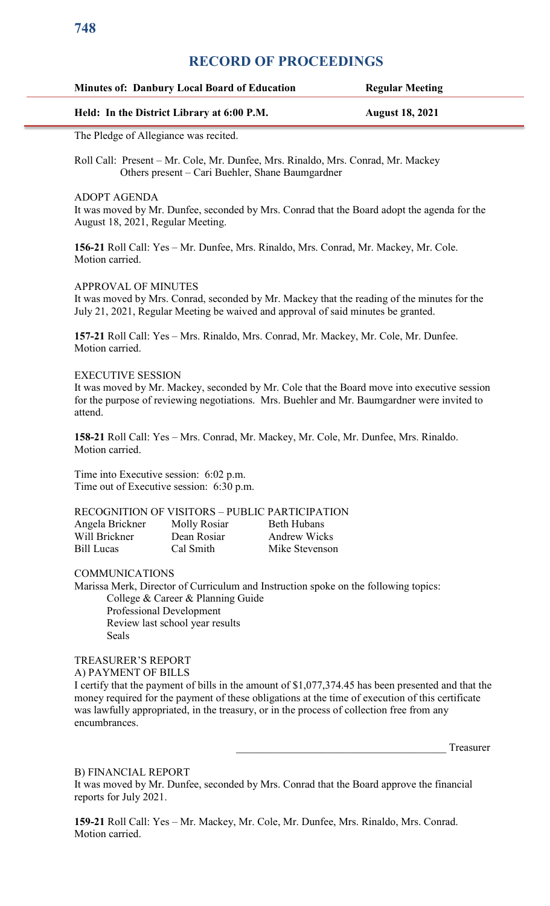## **RECORD OF PROCEEDINGS**

| <b>Minutes of: Danbury Local Board of Education</b> | <b>Regular Meeting</b> |
|-----------------------------------------------------|------------------------|
| Held: In the District Library at 6:00 P.M.          | <b>August 18, 2021</b> |

The Pledge of Allegiance was recited.

Roll Call: Present – Mr. Cole, Mr. Dunfee, Mrs. Rinaldo, Mrs. Conrad, Mr. Mackey Others present – Cari Buehler, Shane Baumgardner

ADOPT AGENDA

It was moved by Mr. Dunfee, seconded by Mrs. Conrad that the Board adopt the agenda for the August 18, 2021, Regular Meeting.

**156-21** Roll Call: Yes – Mr. Dunfee, Mrs. Rinaldo, Mrs. Conrad, Mr. Mackey, Mr. Cole. Motion carried.

### APPROVAL OF MINUTES

It was moved by Mrs. Conrad, seconded by Mr. Mackey that the reading of the minutes for the July 21, 2021, Regular Meeting be waived and approval of said minutes be granted.

**157-21** Roll Call: Yes – Mrs. Rinaldo, Mrs. Conrad, Mr. Mackey, Mr. Cole, Mr. Dunfee. Motion carried.

## EXECUTIVE SESSION

It was moved by Mr. Mackey, seconded by Mr. Cole that the Board move into executive session for the purpose of reviewing negotiations. Mrs. Buehler and Mr. Baumgardner were invited to attend.

**158-21** Roll Call: Yes – Mrs. Conrad, Mr. Mackey, Mr. Cole, Mr. Dunfee, Mrs. Rinaldo. Motion carried.

Time into Executive session: 6:02 p.m. Time out of Executive session: 6:30 p.m.

## RECOGNITION OF VISITORS – PUBLIC PARTICIPATION

| Angela Brickner   | Molly Rosiar | Beth Hubans         |
|-------------------|--------------|---------------------|
| Will Brickner     | Dean Rosiar  | <b>Andrew Wicks</b> |
| <b>Bill Lucas</b> | Cal Smith    | Mike Stevenson      |

COMMUNICATIONS

Marissa Merk, Director of Curriculum and Instruction spoke on the following topics: College & Career & Planning Guide Professional Development Review last school year results Seals

TREASURER'S REPORT A) PAYMENT OF BILLS

I certify that the payment of bills in the amount of \$1,077,374.45 has been presented and that the money required for the payment of these obligations at the time of execution of this certificate was lawfully appropriated, in the treasury, or in the process of collection free from any encumbrances.

\_\_\_\_\_\_\_\_\_\_\_\_\_\_\_\_\_\_\_\_\_\_\_\_\_\_\_\_\_\_\_\_\_\_\_\_\_\_\_ Treasurer

### B) FINANCIAL REPORT

It was moved by Mr. Dunfee, seconded by Mrs. Conrad that the Board approve the financial reports for July 2021.

**159-21** Roll Call: Yes – Mr. Mackey, Mr. Cole, Mr. Dunfee, Mrs. Rinaldo, Mrs. Conrad. Motion carried.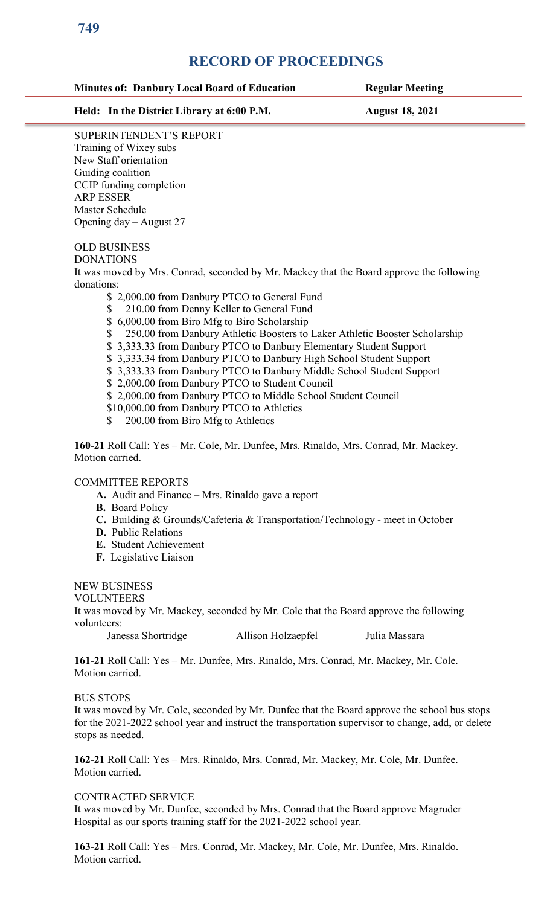## **RECORD OF PROCEEDINGS**

## **Minutes of: Danbury Local Board of Education Regular Meeting**

**Held: In the District Library at 6:00 P.M. August 18, 2021**

SUPERINTENDENT'S REPORT Training of Wixey subs New Staff orientation Guiding coalition CCIP funding completion ARP ESSER Master Schedule Opening day – August 27

# OLD BUSINESS

DONATIONS

It was moved by Mrs. Conrad, seconded by Mr. Mackey that the Board approve the following donations:

- \$ 2,000.00 from Danbury PTCO to General Fund
- \$ 210.00 from Denny Keller to General Fund
- \$ 6,000.00 from Biro Mfg to Biro Scholarship
- \$ 250.00 from Danbury Athletic Boosters to Laker Athletic Booster Scholarship
- \$ 3,333.33 from Danbury PTCO to Danbury Elementary Student Support
- \$ 3,333.34 from Danbury PTCO to Danbury High School Student Support
- \$ 3,333.33 from Danbury PTCO to Danbury Middle School Student Support
- \$ 2,000.00 from Danbury PTCO to Student Council
- \$ 2,000.00 from Danbury PTCO to Middle School Student Council
- \$10,000.00 from Danbury PTCO to Athletics
- \$ 200.00 from Biro Mfg to Athletics

**160-21** Roll Call: Yes – Mr. Cole, Mr. Dunfee, Mrs. Rinaldo, Mrs. Conrad, Mr. Mackey. Motion carried.

## COMMITTEE REPORTS

- **A.** Audit and Finance Mrs. Rinaldo gave a report
- **B.** Board Policy
- **C.** Building & Grounds/Cafeteria & Transportation/Technology meet in October
- **D.** Public Relations
- **E.** Student Achievement
- **F.** Legislative Liaison

## NEW BUSINESS

VOLUNTEERS

It was moved by Mr. Mackey, seconded by Mr. Cole that the Board approve the following volunteers:

Janessa Shortridge Allison Holzaepfel Julia Massara

**161-21** Roll Call: Yes – Mr. Dunfee, Mrs. Rinaldo, Mrs. Conrad, Mr. Mackey, Mr. Cole. Motion carried.

## BUS STOPS

It was moved by Mr. Cole, seconded by Mr. Dunfee that the Board approve the school bus stops for the 2021-2022 school year and instruct the transportation supervisor to change, add, or delete stops as needed.

**162-21** Roll Call: Yes – Mrs. Rinaldo, Mrs. Conrad, Mr. Mackey, Mr. Cole, Mr. Dunfee. Motion carried.

## CONTRACTED SERVICE

It was moved by Mr. Dunfee, seconded by Mrs. Conrad that the Board approve Magruder Hospital as our sports training staff for the 2021-2022 school year.

**163-21** Roll Call: Yes – Mrs. Conrad, Mr. Mackey, Mr. Cole, Mr. Dunfee, Mrs. Rinaldo. Motion carried.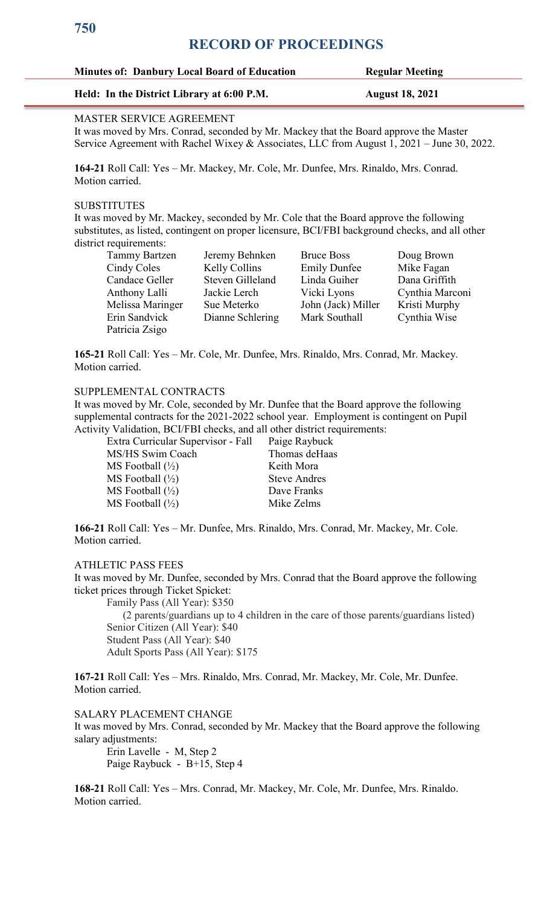# **750**

# **RECORD OF PROCEEDINGS**

## **Minutes of: Danbury Local Board of Education Regular Meeting**

## **Held: In the District Library at 6:00 P.M. August 18, 2021**

### MASTER SERVICE AGREEMENT

It was moved by Mrs. Conrad, seconded by Mr. Mackey that the Board approve the Master Service Agreement with Rachel Wixey & Associates, LLC from August 1, 2021 – June 30, 2022.

**164-21** Roll Call: Yes – Mr. Mackey, Mr. Cole, Mr. Dunfee, Mrs. Rinaldo, Mrs. Conrad. Motion carried.

## **SUBSTITUTES**

It was moved by Mr. Mackey, seconded by Mr. Cole that the Board approve the following substitutes, as listed, contingent on proper licensure, BCI/FBI background checks, and all other district requirements:

| <b>Tammy Bartzen</b> | Jeremy Behnken   | <b>Bruce Boss</b>   | Doug Brown      |
|----------------------|------------------|---------------------|-----------------|
| Cindy Coles          | Kelly Collins    | <b>Emily Dunfee</b> | Mike Fagan      |
| Candace Geller       | Steven Gilleland | Linda Guiher        | Dana Griffith   |
| Anthony Lalli        | Jackie Lerch     | Vicki Lyons         | Cynthia Marconi |
| Melissa Maringer     | Sue Meterko      | John (Jack) Miller  | Kristi Murphy   |
| Erin Sandvick        | Dianne Schlering | Mark Southall       | Cynthia Wise    |
| Patricia Zsigo       |                  |                     |                 |

**165-21** Roll Call: Yes – Mr. Cole, Mr. Dunfee, Mrs. Rinaldo, Mrs. Conrad, Mr. Mackey. Motion carried.

## SUPPLEMENTAL CONTRACTS

It was moved by Mr. Cole, seconded by Mr. Dunfee that the Board approve the following supplemental contracts for the 2021-2022 school year. Employment is contingent on Pupil Activity Validation, BCI/FBI checks, and all other district requirements:

Extra Curricular Supervisor - Fall Paige Raybuck MS/HS Swim Coach Thomas deHaas MS Football  $(\frac{1}{2})$  Keith Mora  $MS$  Football  $\left(\frac{1}{2}\right)$  Steve Andres  $MS$  Football  $(\frac{1}{2})$  Dave Franks  $MS$  Football  $(\frac{1}{2})$  Mike Zelms

**166-21** Roll Call: Yes – Mr. Dunfee, Mrs. Rinaldo, Mrs. Conrad, Mr. Mackey, Mr. Cole. Motion carried.

## ATHLETIC PASS FEES

It was moved by Mr. Dunfee, seconded by Mrs. Conrad that the Board approve the following ticket prices through Ticket Spicket:

Family Pass (All Year): \$350

 (2 parents/guardians up to 4 children in the care of those parents/guardians listed) Senior Citizen (All Year): \$40 Student Pass (All Year): \$40 Adult Sports Pass (All Year): \$175

**167-21** Roll Call: Yes – Mrs. Rinaldo, Mrs. Conrad, Mr. Mackey, Mr. Cole, Mr. Dunfee. Motion carried.

SALARY PLACEMENT CHANGE It was moved by Mrs. Conrad, seconded by Mr. Mackey that the Board approve the following salary adjustments:

Erin Lavelle - M, Step 2 Paige Raybuck - B+15, Step 4

**168-21** Roll Call: Yes – Mrs. Conrad, Mr. Mackey, Mr. Cole, Mr. Dunfee, Mrs. Rinaldo. Motion carried.